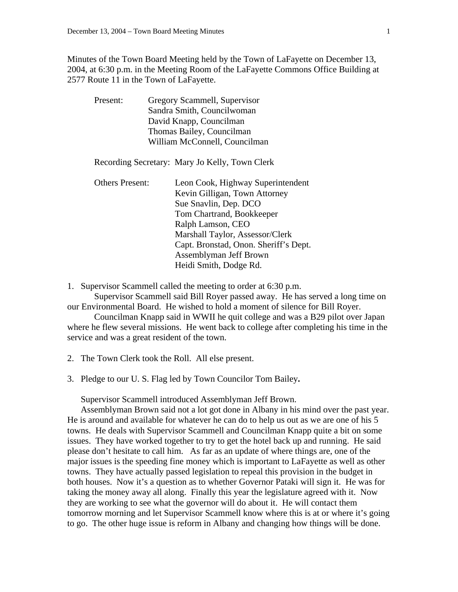Minutes of the Town Board Meeting held by the Town of LaFayette on December 13, 2004, at 6:30 p.m. in the Meeting Room of the LaFayette Commons Office Building at 2577 Route 11 in the Town of LaFayette.

| Present:               | Gregory Scammell, Supervisor                   |
|------------------------|------------------------------------------------|
|                        | Sandra Smith, Councilwoman                     |
|                        | David Knapp, Councilman                        |
|                        | Thomas Bailey, Councilman                      |
|                        | William McConnell, Councilman                  |
|                        | Recording Secretary: Mary Jo Kelly, Town Clerk |
| <b>Others Present:</b> | Leon Cook, Highway Superintendent              |
|                        | Kevin Gilligan, Town Attorney                  |
|                        | Sue Snavlin, Dep. DCO                          |
|                        | Tom Chartrand, Bookkeeper                      |
|                        | Ralph Lamson, CEO                              |
|                        | Marshall Taylor, Assessor/Clerk                |
|                        | Capt. Bronstad, Onon. Sheriff's Dept.          |
|                        | Assemblyman Jeff Brown                         |
|                        | Heidi Smith, Dodge Rd.                         |

1. Supervisor Scammell called the meeting to order at 6:30 p.m.

 Supervisor Scammell said Bill Royer passed away. He has served a long time on our Environmental Board. He wished to hold a moment of silence for Bill Royer.

 Councilman Knapp said in WWII he quit college and was a B29 pilot over Japan where he flew several missions. He went back to college after completing his time in the service and was a great resident of the town.

2. The Town Clerk took the Roll. All else present.

3. Pledge to our U. S. Flag led by Town Councilor Tom Bailey**.** 

Supervisor Scammell introduced Assemblyman Jeff Brown.

 Assemblyman Brown said not a lot got done in Albany in his mind over the past year. He is around and available for whatever he can do to help us out as we are one of his 5 towns. He deals with Supervisor Scammell and Councilman Knapp quite a bit on some issues. They have worked together to try to get the hotel back up and running. He said please don't hesitate to call him. As far as an update of where things are, one of the major issues is the speeding fine money which is important to LaFayette as well as other towns. They have actually passed legislation to repeal this provision in the budget in both houses. Now it's a question as to whether Governor Pataki will sign it. He was for taking the money away all along. Finally this year the legislature agreed with it. Now they are working to see what the governor will do about it. He will contact them tomorrow morning and let Supervisor Scammell know where this is at or where it's going to go. The other huge issue is reform in Albany and changing how things will be done.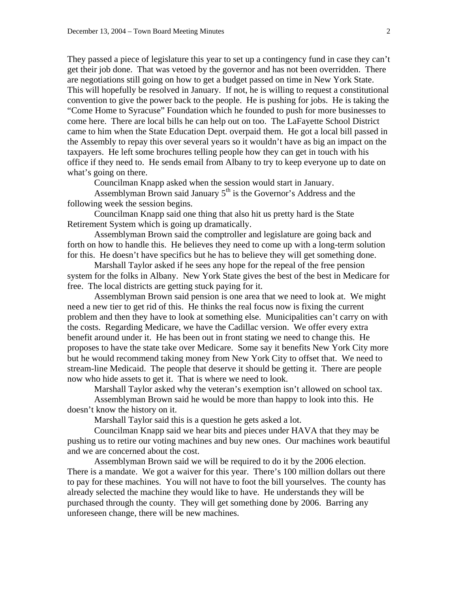They passed a piece of legislature this year to set up a contingency fund in case they can't get their job done. That was vetoed by the governor and has not been overridden. There are negotiations still going on how to get a budget passed on time in New York State. This will hopefully be resolved in January. If not, he is willing to request a constitutional convention to give the power back to the people. He is pushing for jobs. He is taking the "Come Home to Syracuse" Foundation which he founded to push for more businesses to come here. There are local bills he can help out on too. The LaFayette School District came to him when the State Education Dept. overpaid them. He got a local bill passed in the Assembly to repay this over several years so it wouldn't have as big an impact on the taxpayers. He left some brochures telling people how they can get in touch with his office if they need to. He sends email from Albany to try to keep everyone up to date on what's going on there.

Councilman Knapp asked when the session would start in January.

Assemblyman Brown said January 5<sup>th</sup> is the Governor's Address and the following week the session begins.

 Councilman Knapp said one thing that also hit us pretty hard is the State Retirement System which is going up dramatically.

 Assemblyman Brown said the comptroller and legislature are going back and forth on how to handle this. He believes they need to come up with a long-term solution for this. He doesn't have specifics but he has to believe they will get something done.

 Marshall Taylor asked if he sees any hope for the repeal of the free pension system for the folks in Albany. New York State gives the best of the best in Medicare for free. The local districts are getting stuck paying for it.

 Assemblyman Brown said pension is one area that we need to look at. We might need a new tier to get rid of this. He thinks the real focus now is fixing the current problem and then they have to look at something else. Municipalities can't carry on with the costs. Regarding Medicare, we have the Cadillac version. We offer every extra benefit around under it. He has been out in front stating we need to change this. He proposes to have the state take over Medicare. Some say it benefits New York City more but he would recommend taking money from New York City to offset that. We need to stream-line Medicaid. The people that deserve it should be getting it. There are people now who hide assets to get it. That is where we need to look.

Marshall Taylor asked why the veteran's exemption isn't allowed on school tax.

 Assemblyman Brown said he would be more than happy to look into this. He doesn't know the history on it.

Marshall Taylor said this is a question he gets asked a lot.

 Councilman Knapp said we hear bits and pieces under HAVA that they may be pushing us to retire our voting machines and buy new ones. Our machines work beautiful and we are concerned about the cost.

 Assemblyman Brown said we will be required to do it by the 2006 election. There is a mandate. We got a waiver for this year. There's 100 million dollars out there to pay for these machines. You will not have to foot the bill yourselves. The county has already selected the machine they would like to have. He understands they will be purchased through the county. They will get something done by 2006. Barring any unforeseen change, there will be new machines.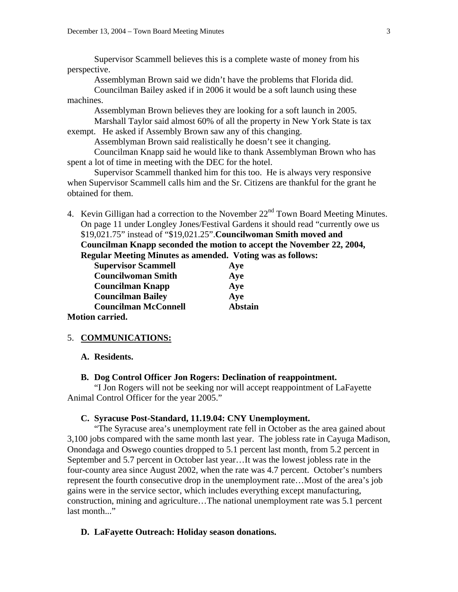Supervisor Scammell believes this is a complete waste of money from his perspective.

Assemblyman Brown said we didn't have the problems that Florida did.

 Councilman Bailey asked if in 2006 it would be a soft launch using these machines.

Assemblyman Brown believes they are looking for a soft launch in 2005.

 Marshall Taylor said almost 60% of all the property in New York State is tax exempt. He asked if Assembly Brown saw any of this changing.

Assemblyman Brown said realistically he doesn't see it changing.

 Councilman Knapp said he would like to thank Assemblyman Brown who has spent a lot of time in meeting with the DEC for the hotel.

 Supervisor Scammell thanked him for this too. He is always very responsive when Supervisor Scammell calls him and the Sr. Citizens are thankful for the grant he obtained for them.

4. Kevin Gilligan had a correction to the November  $22<sup>nd</sup>$  Town Board Meeting Minutes. On page 11 under Longley Jones/Festival Gardens it should read "currently owe us \$19,021.75" instead of "\$19,021.25".**Councilwoman Smith moved and Councilman Knapp seconded the motion to accept the November 22, 2004,** 

**Regular Meeting Minutes as amended. Voting was as follows:** 

| <b>Supervisor Scammell</b>  | Aye            |  |
|-----------------------------|----------------|--|
| <b>Councilwoman Smith</b>   | Aye            |  |
| <b>Councilman Knapp</b>     | Aye            |  |
| <b>Councilman Bailey</b>    | Aye            |  |
| <b>Councilman McConnell</b> | <b>Abstain</b> |  |
| <b>Motion carried.</b>      |                |  |

#### 5. **COMMUNICATIONS:**

#### **A. Residents.**

#### **B. Dog Control Officer Jon Rogers: Declination of reappointment.**

 "I Jon Rogers will not be seeking nor will accept reappointment of LaFayette Animal Control Officer for the year 2005."

#### **C. Syracuse Post-Standard, 11.19.04: CNY Unemployment.**

 "The Syracuse area's unemployment rate fell in October as the area gained about 3,100 jobs compared with the same month last year. The jobless rate in Cayuga Madison, Onondaga and Oswego counties dropped to 5.1 percent last month, from 5.2 percent in September and 5.7 percent in October last year…It was the lowest jobless rate in the four-county area since August 2002, when the rate was 4.7 percent. October's numbers represent the fourth consecutive drop in the unemployment rate…Most of the area's job gains were in the service sector, which includes everything except manufacturing, construction, mining and agriculture…The national unemployment rate was 5.1 percent last month..."

#### **D. LaFayette Outreach: Holiday season donations.**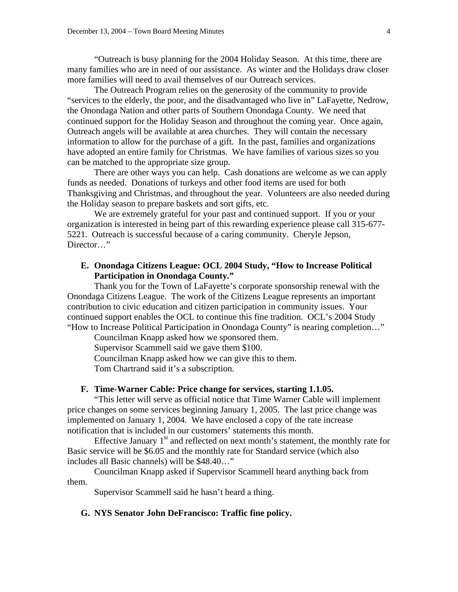"Outreach is busy planning for the 2004 Holiday Season. At this time, there are many families who are in need of our assistance. As winter and the Holidays draw closer more families will need to avail themselves of our Outreach services.

 The Outreach Program relies on the generosity of the community to provide "services to the elderly, the poor, and the disadvantaged who live in" LaFayette, Nedrow, the Onondaga Nation and other parts of Southern Onondaga County. We need that continued support for the Holiday Season and throughout the coming year. Once again, Outreach angels will be available at area churches. They will contain the necessary information to allow for the purchase of a gift. In the past, families and organizations have adopted an entire family for Christmas. We have families of various sizes so you can be matched to the appropriate size group.

 There are other ways you can help. Cash donations are welcome as we can apply funds as needed. Donations of turkeys and other food items are used for both Thanksgiving and Christmas, and throughout the year. Volunteers are also needed during the Holiday season to prepare baskets and sort gifts, etc.

 We are extremely grateful for your past and continued support. If you or your organization is interested in being part of this rewarding experience please call 315-677- 5221. Outreach is successful because of a caring community. Cheryle Jepson, Director…"

### **E. Onondaga Citizens League: OCL 2004 Study, "How to Increase Political Participation in Onondaga County."**

 Thank you for the Town of LaFayette's corporate sponsorship renewal with the Onondaga Citizens League. The work of the Citizens League represents an important contribution to civic education and citizen participation in community issues. Your continued support enables the OCL to continue this fine tradition. OCL's 2004 Study "How to Increase Political Participation in Onondaga County" is nearing completion…"

Councilman Knapp asked how we sponsored them.

Supervisor Scammell said we gave them \$100.

Councilman Knapp asked how we can give this to them.

Tom Chartrand said it's a subscription.

#### **F. Time-Warner Cable: Price change for services, starting 1.1.05.**

 "This letter will serve as official notice that Time Warner Cable will implement price changes on some services beginning January 1, 2005. The last price change was implemented on January 1, 2004. We have enclosed a copy of the rate increase notification that is included in our customers' statements this month.

Effective January  $1<sup>st</sup>$  and reflected on next month's statement, the monthly rate for Basic service will be \$6.05 and the monthly rate for Standard service (which also includes all Basic channels) will be \$48.40…"

 Councilman Knapp asked if Supervisor Scammell heard anything back from them.

Supervisor Scammell said he hasn't heard a thing.

### **G. NYS Senator John DeFrancisco: Traffic fine policy.**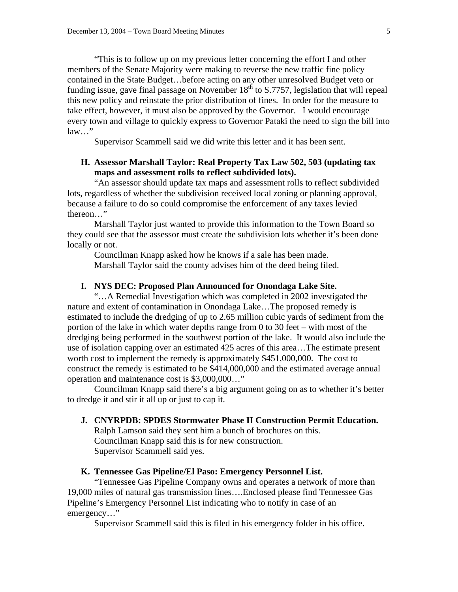"This is to follow up on my previous letter concerning the effort I and other members of the Senate Majority were making to reverse the new traffic fine policy contained in the State Budget…before acting on any other unresolved Budget veto or funding issue, gave final passage on November  $18<sup>th</sup>$  to S.7757, legislation that will repeal this new policy and reinstate the prior distribution of fines. In order for the measure to take effect, however, it must also be approved by the Governor. I would encourage every town and village to quickly express to Governor Pataki the need to sign the bill into law…"

Supervisor Scammell said we did write this letter and it has been sent.

## **H. Assessor Marshall Taylor: Real Property Tax Law 502, 503 (updating tax maps and assessment rolls to reflect subdivided lots).**

 "An assessor should update tax maps and assessment rolls to reflect subdivided lots, regardless of whether the subdivision received local zoning or planning approval, because a failure to do so could compromise the enforcement of any taxes levied thereon…"

 Marshall Taylor just wanted to provide this information to the Town Board so they could see that the assessor must create the subdivision lots whether it's been done locally or not.

 Councilman Knapp asked how he knows if a sale has been made. Marshall Taylor said the county advises him of the deed being filed.

### **I. NYS DEC: Proposed Plan Announced for Onondaga Lake Site.**

 "…A Remedial Investigation which was completed in 2002 investigated the nature and extent of contamination in Onondaga Lake…The proposed remedy is estimated to include the dredging of up to 2.65 million cubic yards of sediment from the portion of the lake in which water depths range from 0 to 30 feet – with most of the dredging being performed in the southwest portion of the lake. It would also include the use of isolation capping over an estimated 425 acres of this area…The estimate present worth cost to implement the remedy is approximately \$451,000,000. The cost to construct the remedy is estimated to be \$414,000,000 and the estimated average annual operation and maintenance cost is \$3,000,000…"

 Councilman Knapp said there's a big argument going on as to whether it's better to dredge it and stir it all up or just to cap it.

#### **J. CNYRPDB: SPDES Stormwater Phase II Construction Permit Education.**

 Ralph Lamson said they sent him a bunch of brochures on this. Councilman Knapp said this is for new construction. Supervisor Scammell said yes.

#### **K. Tennessee Gas Pipeline/El Paso: Emergency Personnel List.**

"Tennessee Gas Pipeline Company owns and operates a network of more than 19,000 miles of natural gas transmission lines….Enclosed please find Tennessee Gas Pipeline's Emergency Personnel List indicating who to notify in case of an emergency…"

Supervisor Scammell said this is filed in his emergency folder in his office.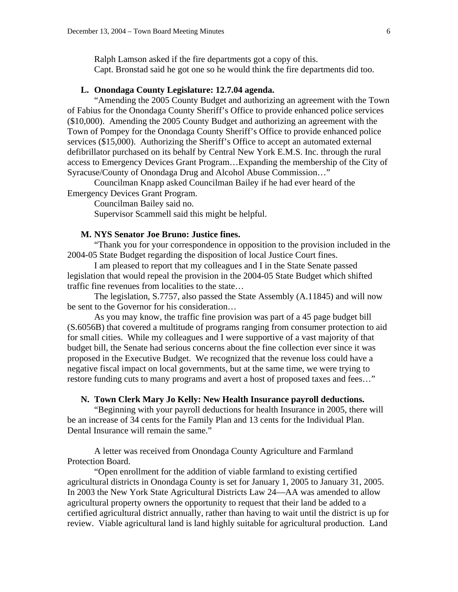Ralph Lamson asked if the fire departments got a copy of this. Capt. Bronstad said he got one so he would think the fire departments did too.

## **L. Onondaga County Legislature: 12.7.04 agenda.**

 "Amending the 2005 County Budget and authorizing an agreement with the Town of Fabius for the Onondaga County Sheriff's Office to provide enhanced police services (\$10,000). Amending the 2005 County Budget and authorizing an agreement with the Town of Pompey for the Onondaga County Sheriff's Office to provide enhanced police services (\$15,000). Authorizing the Sheriff's Office to accept an automated external defibrillator purchased on its behalf by Central New York E.M.S. Inc. through the rural access to Emergency Devices Grant Program…Expanding the membership of the City of Syracuse/County of Onondaga Drug and Alcohol Abuse Commission…"

 Councilman Knapp asked Councilman Bailey if he had ever heard of the Emergency Devices Grant Program.

Councilman Bailey said no.

Supervisor Scammell said this might be helpful.

### **M. NYS Senator Joe Bruno: Justice fines.**

 "Thank you for your correspondence in opposition to the provision included in the 2004-05 State Budget regarding the disposition of local Justice Court fines.

 I am pleased to report that my colleagues and I in the State Senate passed legislation that would repeal the provision in the 2004-05 State Budget which shifted traffic fine revenues from localities to the state…

 The legislation, S.7757, also passed the State Assembly (A.11845) and will now be sent to the Governor for his consideration…

 As you may know, the traffic fine provision was part of a 45 page budget bill (S.6056B) that covered a multitude of programs ranging from consumer protection to aid for small cities. While my colleagues and I were supportive of a vast majority of that budget bill, the Senate had serious concerns about the fine collection ever since it was proposed in the Executive Budget. We recognized that the revenue loss could have a negative fiscal impact on local governments, but at the same time, we were trying to restore funding cuts to many programs and avert a host of proposed taxes and fees…"

### **N. Town Clerk Mary Jo Kelly: New Health Insurance payroll deductions.**

 "Beginning with your payroll deductions for health Insurance in 2005, there will be an increase of 34 cents for the Family Plan and 13 cents for the Individual Plan. Dental Insurance will remain the same."

 A letter was received from Onondaga County Agriculture and Farmland Protection Board.

 "Open enrollment for the addition of viable farmland to existing certified agricultural districts in Onondaga County is set for January 1, 2005 to January 31, 2005. In 2003 the New York State Agricultural Districts Law 24—AA was amended to allow agricultural property owners the opportunity to request that their land be added to a certified agricultural district annually, rather than having to wait until the district is up for review. Viable agricultural land is land highly suitable for agricultural production. Land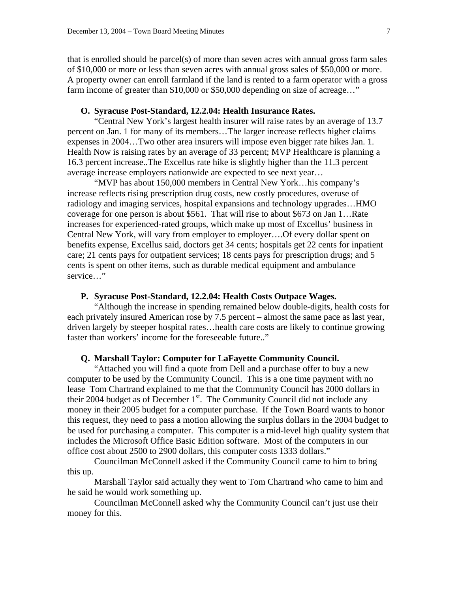that is enrolled should be parcel(s) of more than seven acres with annual gross farm sales of \$10,000 or more or less than seven acres with annual gross sales of \$50,000 or more. A property owner can enroll farmland if the land is rented to a farm operator with a gross farm income of greater than \$10,000 or \$50,000 depending on size of acreage..."

### **O. Syracuse Post-Standard, 12.2.04: Health Insurance Rates.**

 "Central New York's largest health insurer will raise rates by an average of 13.7 percent on Jan. 1 for many of its members…The larger increase reflects higher claims expenses in 2004…Two other area insurers will impose even bigger rate hikes Jan. 1. Health Now is raising rates by an average of 33 percent; MVP Healthcare is planning a 16.3 percent increase..The Excellus rate hike is slightly higher than the 11.3 percent average increase employers nationwide are expected to see next year…

 "MVP has about 150,000 members in Central New York…his company's increase reflects rising prescription drug costs, new costly procedures, overuse of radiology and imaging services, hospital expansions and technology upgrades…HMO coverage for one person is about \$561. That will rise to about \$673 on Jan 1…Rate increases for experienced-rated groups, which make up most of Excellus' business in Central New York, will vary from employer to employer….Of every dollar spent on benefits expense, Excellus said, doctors get 34 cents; hospitals get 22 cents for inpatient care; 21 cents pays for outpatient services; 18 cents pays for prescription drugs; and 5 cents is spent on other items, such as durable medical equipment and ambulance service…"

#### **P. Syracuse Post-Standard, 12.2.04: Health Costs Outpace Wages.**

"Although the increase in spending remained below double-digits, health costs for each privately insured American rose by 7.5 percent – almost the same pace as last year, driven largely by steeper hospital rates…health care costs are likely to continue growing faster than workers' income for the foreseeable future.."

#### **Q. Marshall Taylor: Computer for LaFayette Community Council.**

 "Attached you will find a quote from Dell and a purchase offer to buy a new computer to be used by the Community Council. This is a one time payment with no lease Tom Chartrand explained to me that the Community Council has 2000 dollars in their 2004 budget as of December  $1<sup>st</sup>$ . The Community Council did not include any money in their 2005 budget for a computer purchase. If the Town Board wants to honor this request, they need to pass a motion allowing the surplus dollars in the 2004 budget to be used for purchasing a computer. This computer is a mid-level high quality system that includes the Microsoft Office Basic Edition software. Most of the computers in our office cost about 2500 to 2900 dollars, this computer costs 1333 dollars."

 Councilman McConnell asked if the Community Council came to him to bring this up.

 Marshall Taylor said actually they went to Tom Chartrand who came to him and he said he would work something up.

 Councilman McConnell asked why the Community Council can't just use their money for this.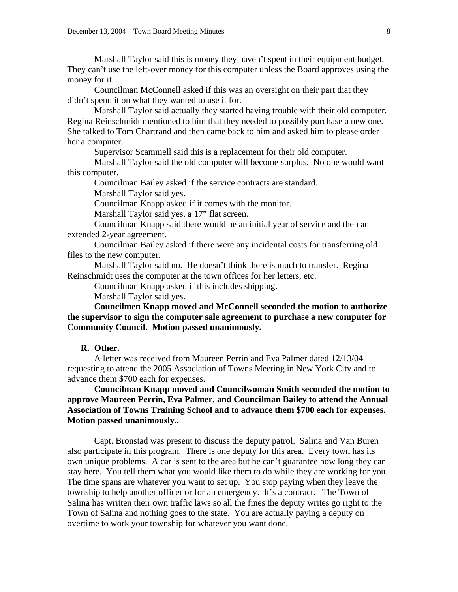Marshall Taylor said this is money they haven't spent in their equipment budget. They can't use the left-over money for this computer unless the Board approves using the money for it.

 Councilman McConnell asked if this was an oversight on their part that they didn't spend it on what they wanted to use it for.

 Marshall Taylor said actually they started having trouble with their old computer. Regina Reinschmidt mentioned to him that they needed to possibly purchase a new one. She talked to Tom Chartrand and then came back to him and asked him to please order her a computer.

Supervisor Scammell said this is a replacement for their old computer.

 Marshall Taylor said the old computer will become surplus. No one would want this computer.

Councilman Bailey asked if the service contracts are standard.

Marshall Taylor said yes.

Councilman Knapp asked if it comes with the monitor.

Marshall Taylor said yes, a 17" flat screen.

 Councilman Knapp said there would be an initial year of service and then an extended 2-year agreement.

 Councilman Bailey asked if there were any incidental costs for transferring old files to the new computer.

 Marshall Taylor said no. He doesn't think there is much to transfer. Regina Reinschmidt uses the computer at the town offices for her letters, etc.

Councilman Knapp asked if this includes shipping.

Marshall Taylor said yes.

**Councilmen Knapp moved and McConnell seconded the motion to authorize the supervisor to sign the computer sale agreement to purchase a new computer for Community Council. Motion passed unanimously.** 

#### **R. Other.**

A letter was received from Maureen Perrin and Eva Palmer dated 12/13/04 requesting to attend the 2005 Association of Towns Meeting in New York City and to advance them \$700 each for expenses.

**Councilman Knapp moved and Councilwoman Smith seconded the motion to approve Maureen Perrin, Eva Palmer, and Councilman Bailey to attend the Annual Association of Towns Training School and to advance them \$700 each for expenses. Motion passed unanimously..** 

 Capt. Bronstad was present to discuss the deputy patrol. Salina and Van Buren also participate in this program. There is one deputy for this area. Every town has its own unique problems. A car is sent to the area but he can't guarantee how long they can stay here. You tell them what you would like them to do while they are working for you. The time spans are whatever you want to set up. You stop paying when they leave the township to help another officer or for an emergency. It's a contract. The Town of Salina has written their own traffic laws so all the fines the deputy writes go right to the Town of Salina and nothing goes to the state. You are actually paying a deputy on overtime to work your township for whatever you want done.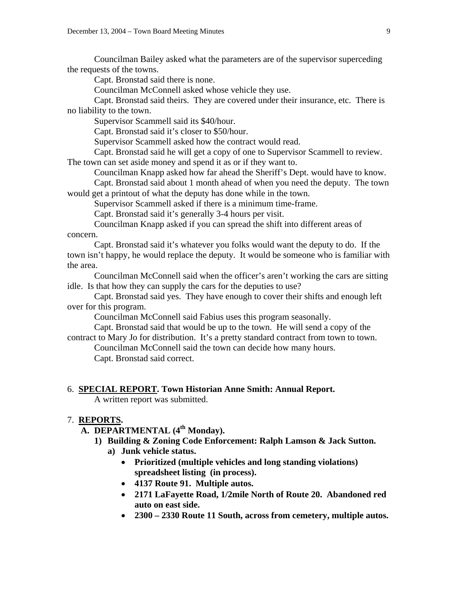Councilman Bailey asked what the parameters are of the supervisor superceding the requests of the towns.

Capt. Bronstad said there is none.

Councilman McConnell asked whose vehicle they use.

 Capt. Bronstad said theirs. They are covered under their insurance, etc. There is no liability to the town.

Supervisor Scammell said its \$40/hour.

Capt. Bronstad said it's closer to \$50/hour.

Supervisor Scammell asked how the contract would read.

 Capt. Bronstad said he will get a copy of one to Supervisor Scammell to review. The town can set aside money and spend it as or if they want to.

Councilman Knapp asked how far ahead the Sheriff's Dept. would have to know.

 Capt. Bronstad said about 1 month ahead of when you need the deputy. The town would get a printout of what the deputy has done while in the town.

Supervisor Scammell asked if there is a minimum time-frame.

Capt. Bronstad said it's generally 3-4 hours per visit.

 Councilman Knapp asked if you can spread the shift into different areas of concern.

 Capt. Bronstad said it's whatever you folks would want the deputy to do. If the town isn't happy, he would replace the deputy. It would be someone who is familiar with the area.

 Councilman McConnell said when the officer's aren't working the cars are sitting idle. Is that how they can supply the cars for the deputies to use?

 Capt. Bronstad said yes. They have enough to cover their shifts and enough left over for this program.

Councilman McConnell said Fabius uses this program seasonally.

 Capt. Bronstad said that would be up to the town. He will send a copy of the contract to Mary Jo for distribution. It's a pretty standard contract from town to town.

 Councilman McConnell said the town can decide how many hours. Capt. Bronstad said correct.

#### 6. **SPECIAL REPORT. Town Historian Anne Smith: Annual Report.**

A written report was submitted.

## 7. **REPORTS.**

- **A. DEPARTMENTAL (4th Monday).** 
	- **1) Building & Zoning Code Enforcement: Ralph Lamson & Jack Sutton.** 
		- **a) Junk vehicle status.** 
			- **Prioritized (multiple vehicles and long standing violations) spreadsheet listing (in process).**
			- **4137 Route 91. Multiple autos.**
			- **2171 LaFayette Road, 1/2mile North of Route 20. Abandoned red auto on east side.**
			- **2300 2330 Route 11 South, across from cemetery, multiple autos.**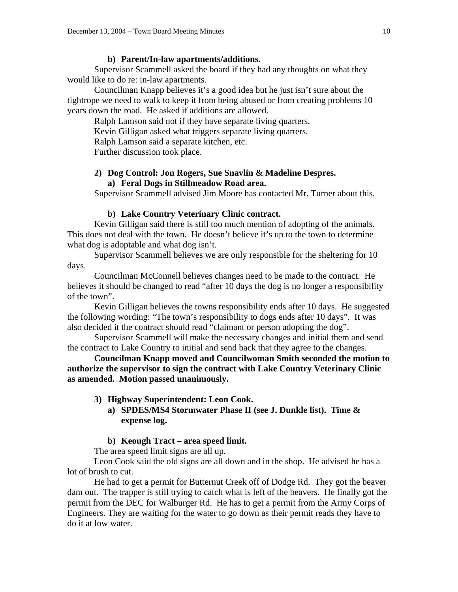#### **b) Parent/In-law apartments/additions.**

Supervisor Scammell asked the board if they had any thoughts on what they would like to do re: in-law apartments.

 Councilman Knapp believes it's a good idea but he just isn't sure about the tightrope we need to walk to keep it from being abused or from creating problems 10 years down the road. He asked if additions are allowed.

Ralph Lamson said not if they have separate living quarters.

Kevin Gilligan asked what triggers separate living quarters.

Ralph Lamson said a separate kitchen, etc.

Further discussion took place.

## **2) Dog Control: Jon Rogers, Sue Snavlin & Madeline Despres. a) Feral Dogs in Stillmeadow Road area.**

Supervisor Scammell advised Jim Moore has contacted Mr. Turner about this.

#### **b) Lake Country Veterinary Clinic contract.**

 Kevin Gilligan said there is still too much mention of adopting of the animals. This does not deal with the town. He doesn't believe it's up to the town to determine what dog is adoptable and what dog isn't.

 Supervisor Scammell believes we are only responsible for the sheltering for 10 days.

 Councilman McConnell believes changes need to be made to the contract. He believes it should be changed to read "after 10 days the dog is no longer a responsibility of the town".

 Kevin Gilligan believes the towns responsibility ends after 10 days. He suggested the following wording: "The town's responsibility to dogs ends after 10 days". It was also decided it the contract should read "claimant or person adopting the dog".

 Supervisor Scammell will make the necessary changes and initial them and send the contract to Lake Country to initial and send back that they agree to the changes.

**Councilman Knapp moved and Councilwoman Smith seconded the motion to authorize the supervisor to sign the contract with Lake Country Veterinary Clinic as amended. Motion passed unanimously.** 

### **3) Highway Superintendent: Leon Cook.**

**a) SPDES/MS4 Stormwater Phase II (see J. Dunkle list). Time & expense log.** 

### **b) Keough Tract – area speed limit.**

The area speed limit signs are all up.

 Leon Cook said the old signs are all down and in the shop. He advised he has a lot of brush to cut.

 He had to get a permit for Butternut Creek off of Dodge Rd. They got the beaver dam out. The trapper is still trying to catch what is left of the beavers. He finally got the permit from the DEC for Walburger Rd. He has to get a permit from the Army Corps of Engineers. They are waiting for the water to go down as their permit reads they have to do it at low water.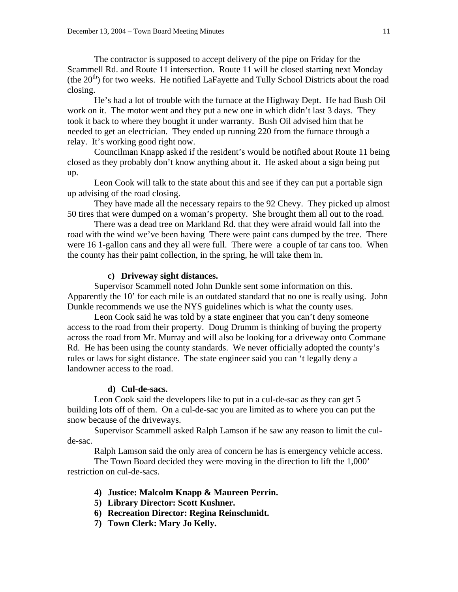The contractor is supposed to accept delivery of the pipe on Friday for the Scammell Rd. and Route 11 intersection. Route 11 will be closed starting next Monday (the  $20<sup>th</sup>$ ) for two weeks. He notified LaFayette and Tully School Districts about the road closing.

 He's had a lot of trouble with the furnace at the Highway Dept. He had Bush Oil work on it. The motor went and they put a new one in which didn't last 3 days. They took it back to where they bought it under warranty. Bush Oil advised him that he needed to get an electrician. They ended up running 220 from the furnace through a relay. It's working good right now.

 Councilman Knapp asked if the resident's would be notified about Route 11 being closed as they probably don't know anything about it. He asked about a sign being put up.

 Leon Cook will talk to the state about this and see if they can put a portable sign up advising of the road closing.

 They have made all the necessary repairs to the 92 Chevy. They picked up almost 50 tires that were dumped on a woman's property. She brought them all out to the road.

 There was a dead tree on Markland Rd. that they were afraid would fall into the road with the wind we've been having There were paint cans dumped by the tree. There were 16 1-gallon cans and they all were full. There were a couple of tar cans too. When the county has their paint collection, in the spring, he will take them in.

#### **c) Driveway sight distances.**

 Supervisor Scammell noted John Dunkle sent some information on this. Apparently the 10' for each mile is an outdated standard that no one is really using. John Dunkle recommends we use the NYS guidelines which is what the county uses.

 Leon Cook said he was told by a state engineer that you can't deny someone access to the road from their property. Doug Drumm is thinking of buying the property across the road from Mr. Murray and will also be looking for a driveway onto Commane Rd. He has been using the county standards. We never officially adopted the county's rules or laws for sight distance. The state engineer said you can 't legally deny a landowner access to the road.

#### **d) Cul-de-sacs.**

 Leon Cook said the developers like to put in a cul-de-sac as they can get 5 building lots off of them. On a cul-de-sac you are limited as to where you can put the snow because of the driveways.

 Supervisor Scammell asked Ralph Lamson if he saw any reason to limit the culde-sac.

Ralph Lamson said the only area of concern he has is emergency vehicle access.

 The Town Board decided they were moving in the direction to lift the 1,000' restriction on cul-de-sacs.

- **4) Justice: Malcolm Knapp & Maureen Perrin.**
- **5) Library Director: Scott Kushner.**
- **6) Recreation Director: Regina Reinschmidt.**
- **7) Town Clerk: Mary Jo Kelly.**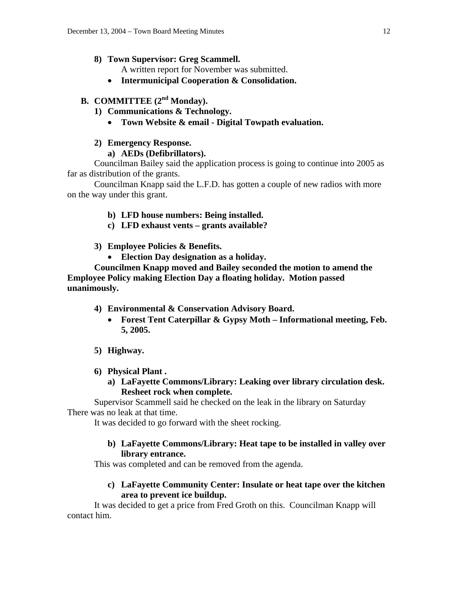## **8) Town Supervisor: Greg Scammell.**

A written report for November was submitted.

• **Intermunicipal Cooperation & Consolidation.** 

# **B. COMMITTEE** (2<sup>nd</sup> Monday).

**1) Communications & Technology.** 

# • **Town Website & email - Digital Towpath evaluation.**

# **2) Emergency Response.**

# **a) AEDs (Defibrillators).**

 Councilman Bailey said the application process is going to continue into 2005 as far as distribution of the grants.

 Councilman Knapp said the L.F.D. has gotten a couple of new radios with more on the way under this grant.

# **b) LFD house numbers: Being installed.**

**c) LFD exhaust vents – grants available?** 

# **3) Employee Policies & Benefits.**

• **Election Day designation as a holiday.** 

 **Councilmen Knapp moved and Bailey seconded the motion to amend the Employee Policy making Election Day a floating holiday. Motion passed unanimously.** 

- **4) Environmental & Conservation Advisory Board.** 
	- **Forest Tent Caterpillar & Gypsy Moth Informational meeting, Feb. 5, 2005.**
- **5) Highway.**
- **6) Physical Plant .** 
	- **a) LaFayette Commons/Library: Leaking over library circulation desk. Resheet rock when complete.**

 Supervisor Scammell said he checked on the leak in the library on Saturday There was no leak at that time.

It was decided to go forward with the sheet rocking.

# **b) LaFayette Commons/Library: Heat tape to be installed in valley over library entrance.**

This was completed and can be removed from the agenda.

# **c) LaFayette Community Center: Insulate or heat tape over the kitchen area to prevent ice buildup.**

 It was decided to get a price from Fred Groth on this. Councilman Knapp will contact him.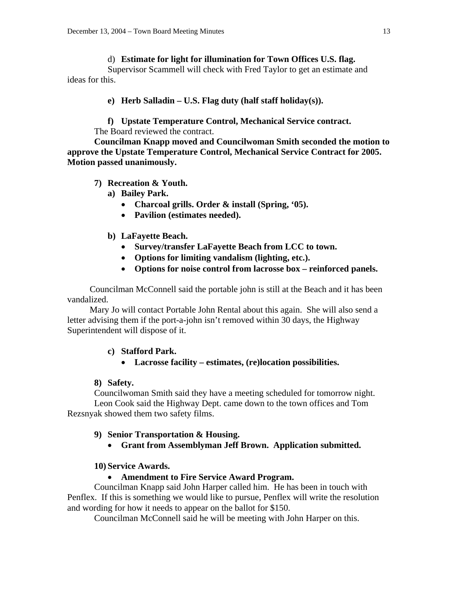### d) **Estimate for light for illumination for Town Offices U.S. flag.**

Supervisor Scammell will check with Fred Taylor to get an estimate and ideas for this.

**e) Herb Salladin – U.S. Flag duty (half staff holiday(s)).** 

**f) Upstate Temperature Control, Mechanical Service contract.** 

The Board reviewed the contract.

**Councilman Knapp moved and Councilwoman Smith seconded the motion to approve the Upstate Temperature Control, Mechanical Service Contract for 2005. Motion passed unanimously.** 

# **7) Recreation & Youth.**

- **a) Bailey Park.** 
	- **Charcoal grills. Order & install (Spring, '05).**
	- **Pavilion (estimates needed).**

## **b) LaFayette Beach.**

- **Survey/transfer LaFayette Beach from LCC to town.**
- **Options for limiting vandalism (lighting, etc.).**
- **Options for noise control from lacrosse box reinforced panels.**

 Councilman McConnell said the portable john is still at the Beach and it has been vandalized.

 Mary Jo will contact Portable John Rental about this again. She will also send a letter advising them if the port-a-john isn't removed within 30 days, the Highway Superintendent will dispose of it.

## **c) Stafford Park.**

• **Lacrosse facility – estimates, (re)location possibilities.** 

## **8) Safety.**

 Councilwoman Smith said they have a meeting scheduled for tomorrow night. Leon Cook said the Highway Dept. came down to the town offices and Tom Rezsnyak showed them two safety films.

# **9) Senior Transportation & Housing.**

• **Grant from Assemblyman Jeff Brown. Application submitted.** 

## **10) Service Awards.**

## • **Amendment to Fire Service Award Program.**

 Councilman Knapp said John Harper called him. He has been in touch with Penflex. If this is something we would like to pursue, Penflex will write the resolution and wording for how it needs to appear on the ballot for \$150.

Councilman McConnell said he will be meeting with John Harper on this.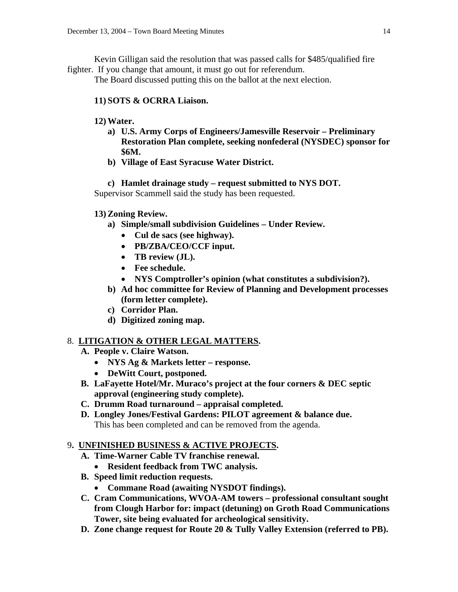Kevin Gilligan said the resolution that was passed calls for \$485/qualified fire fighter. If you change that amount, it must go out for referendum.

The Board discussed putting this on the ballot at the next election.

# **11) SOTS & OCRRA Liaison.**

# **12) Water.**

- **a) U.S. Army Corps of Engineers/Jamesville Reservoir Preliminary Restoration Plan complete, seeking nonfederal (NYSDEC) sponsor for \$6M.**
- **b) Village of East Syracuse Water District.**

# **c) Hamlet drainage study – request submitted to NYS DOT.**

Supervisor Scammell said the study has been requested.

# **13) Zoning Review.**

- **a) Simple/small subdivision Guidelines Under Review.** 
	- **Cul de sacs (see highway).**
	- **PB/ZBA/CEO/CCF input.**
	- **TB review (JL).**
	- **Fee schedule.**
	- **NYS Comptroller's opinion (what constitutes a subdivision?).**
- **b) Ad hoc committee for Review of Planning and Development processes (form letter complete).**
- **c) Corridor Plan.**
- **d) Digitized zoning map.**

# 8. **LITIGATION & OTHER LEGAL MATTERS.**

- **A. People v. Claire Watson.** 
	- **NYS Ag & Markets letter response.**
	- **DeWitt Court, postponed.**
- **B. LaFayette Hotel/Mr. Muraco's project at the four corners & DEC septic approval (engineering study complete).**
- **C. Drumm Road turnaround appraisal completed.**
- **D. Longley Jones/Festival Gardens: PILOT agreement & balance due.**  This has been completed and can be removed from the agenda.

# 9**. UNFINISHED BUSINESS & ACTIVE PROJECTS.**

- **A. Time-Warner Cable TV franchise renewal.**
- **Resident feedback from TWC analysis.**
- **B. Speed limit reduction requests.** 
	- **Commane Road (awaiting NYSDOT findings).**
- **C. Cram Communications, WVOA-AM towers professional consultant sought from Clough Harbor for: impact (detuning) on Groth Road Communications Tower, site being evaluated for archeological sensitivity.**
- **D. Zone change request for Route 20 & Tully Valley Extension (referred to PB).**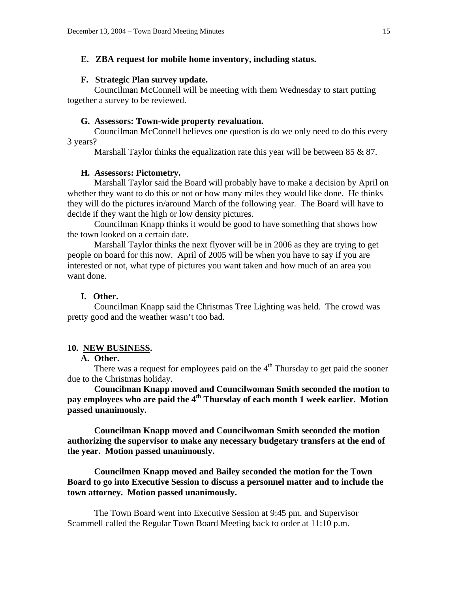### **E. ZBA request for mobile home inventory, including status.**

### **F. Strategic Plan survey update.**

 Councilman McConnell will be meeting with them Wednesday to start putting together a survey to be reviewed.

#### **G. Assessors: Town-wide property revaluation.**

 Councilman McConnell believes one question is do we only need to do this every 3 years?

Marshall Taylor thinks the equalization rate this year will be between 85 & 87.

### **H. Assessors: Pictometry.**

 Marshall Taylor said the Board will probably have to make a decision by April on whether they want to do this or not or how many miles they would like done. He thinks they will do the pictures in/around March of the following year. The Board will have to decide if they want the high or low density pictures.

 Councilman Knapp thinks it would be good to have something that shows how the town looked on a certain date.

 Marshall Taylor thinks the next flyover will be in 2006 as they are trying to get people on board for this now. April of 2005 will be when you have to say if you are interested or not, what type of pictures you want taken and how much of an area you want done.

### **I. Other.**

 Councilman Knapp said the Christmas Tree Lighting was held. The crowd was pretty good and the weather wasn't too bad.

### **10. NEW BUSINESS.**

#### **A. Other.**

There was a request for employees paid on the  $4<sup>th</sup>$  Thursday to get paid the sooner due to the Christmas holiday.

**Councilman Knapp moved and Councilwoman Smith seconded the motion to pay employees who are paid the 4<sup>th</sup> Thursday of each month 1 week earlier. Motion passed unanimously.** 

 **Councilman Knapp moved and Councilwoman Smith seconded the motion authorizing the supervisor to make any necessary budgetary transfers at the end of the year. Motion passed unanimously.** 

 **Councilmen Knapp moved and Bailey seconded the motion for the Town Board to go into Executive Session to discuss a personnel matter and to include the town attorney. Motion passed unanimously.** 

The Town Board went into Executive Session at 9:45 pm. and Supervisor Scammell called the Regular Town Board Meeting back to order at 11:10 p.m.